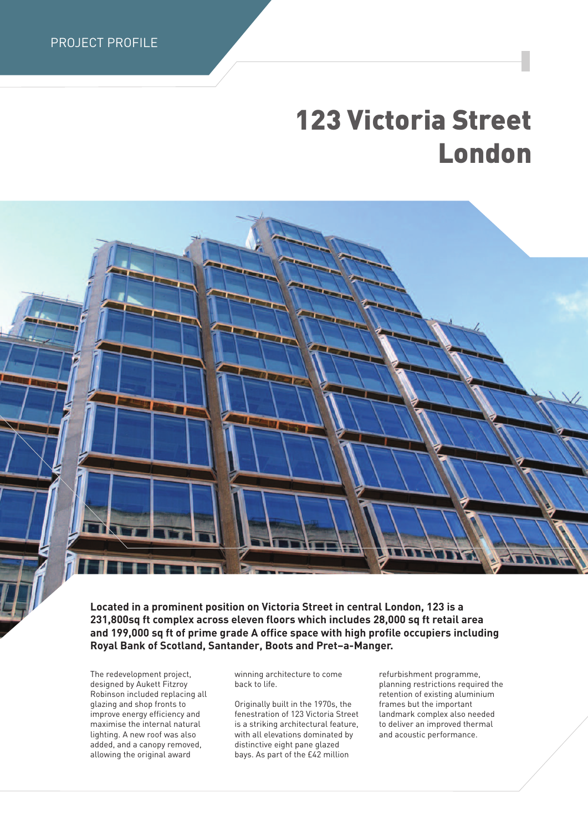PROJECT PROFILE

## **123 Victoria Street London**

**Located in a prominent position on Victoria Street in central London, 123 is a 231,800sq ft complex across eleven floors which includes 28,000 sq ft retail area and 199,000 sq ft of prime grade A office space with high profile occupiers including Royal Bank of Scotland, Santander, Boots and Pret–a-Manger.**

The redevelopment project, designed by Aukett Fitzroy Robinson included replacing all glazing and shop fronts to improve energy efficiency and maximise the internal natural lighting. A new roof was also added, and a canopy removed, allowing the original award

winning architecture to come back to life.

Originally built in the 1970s, the fenestration of 123 Victoria Street is a striking architectural feature, with all elevations dominated by distinctive eight pane glazed bays. As part of the £42 million

refurbishment programme, planning restrictions required the retention of existing aluminium frames but the important landmark complex also needed to deliver an improved thermal and acoustic performance.